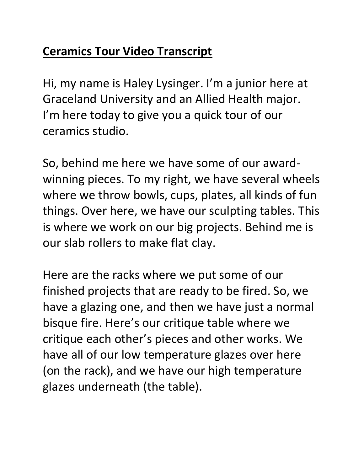## **Ceramics Tour Video Transcript**

Hi, my name is Haley Lysinger. I'm a junior here at Graceland University and an Allied Health major. I'm here today to give you a quick tour of our ceramics studio.

So, behind me here we have some of our awardwinning pieces. To my right, we have several wheels where we throw bowls, cups, plates, all kinds of fun things. Over here, we have our sculpting tables. This is where we work on our big projects. Behind me is our slab rollers to make flat clay.

Here are the racks where we put some of our finished projects that are ready to be fired. So, we have a glazing one, and then we have just a normal bisque fire. Here's our critique table where we critique each other's pieces and other works. We have all of our low temperature glazes over here (on the rack), and we have our high temperature glazes underneath (the table).